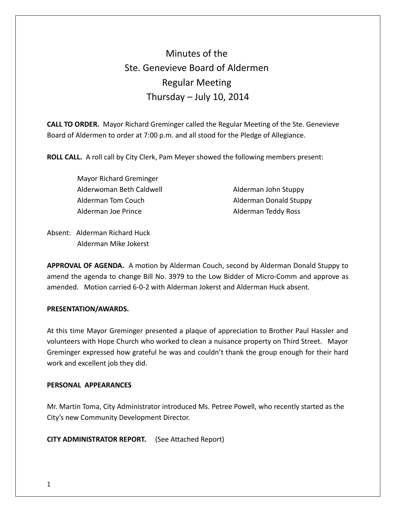# Minutes of the Ste. Genevieve Board of Aldermen Regular Meeting Thursday  $-$  July 10, 2014

**CALL TO ORDER.** Mayor Richard Greminger called the Regular Meeting of the Ste. Genevieve Board of Aldermen to order at 7:00 p.m. and all stood for the Pledge of Allegiance.

**ROLL CALL.** A roll call by City Clerk, Pam Meyer showed the following members present:

 Mayor Richard Greminger Alderwoman Beth Caldwell **Alderman John Stuppy** Alderman Tom Couch and Alderman Donald Stuppy Alderman Joe Prince **Alderman Teddy Ross** 

Absent: Alderman Richard Huck Alderman Mike Jokerst

**APPROVAL OF AGENDA.** A motion by Alderman Couch, second by Alderman Donald Stuppy to amend the agenda to change Bill No. 3979 to the Low Bidder of Micro-Comm and approve as amended. Motion carried 6-0-2 with Alderman Jokerst and Alderman Huck absent.

# **PRESENTATION/AWARDS.**

At this time Mayor Greminger presented a plaque of appreciation to Brother Paul Hassler and volunteers with Hope Church who worked to clean a nuisance property on Third Street. Mayor Greminger expressed how grateful he was and couldn't thank the group enough for their hard work and excellent job they did.

# **PERSONAL APPEARANCES**

Mr. Martin Toma, City Administrator introduced Ms. Petree Powell, who recently started as the City's new Community Development Director.

**CITY ADMINISTRATOR REPORT.** (See Attached Report)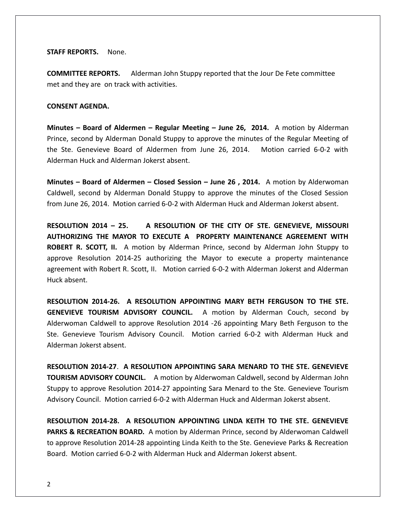**STAFF REPORTS.** None.

**COMMITTEE REPORTS.** Alderman John Stuppy reported that the Jour De Fete committee met and they are on track with activities.

## **CONSENT AGENDA.**

**Minutes – Board of Aldermen – Regular Meeting – June 26, 2014.** A motion by Alderman Prince, second by Alderman Donald Stuppy to approve the minutes of the Regular Meeting of the Ste. Genevieve Board of Aldermen from June 26, 2014. Motion carried 6-0-2 with Alderman Huck and Alderman Jokerst absent.

**Minutes – Board of Aldermen – Closed Session – June 26 , 2014.** A motion by Alderwoman Caldwell, second by Alderman Donald Stuppy to approve the minutes of the Closed Session from June 26, 2014. Motion carried 6-0-2 with Alderman Huck and Alderman Jokerst absent.

**RESOLUTION 2014 – 25. A RESOLUTION OF THE CITY OF STE. GENEVIEVE, MISSOURI AUTHORIZING THE MAYOR TO EXECUTE A PROPERTY MAINTENANCE AGREEMENT WITH ROBERT R. SCOTT, II.** A motion by Alderman Prince, second by Alderman John Stuppy to approve Resolution 2014-25 authorizing the Mayor to execute a property maintenance agreement with Robert R. Scott, II. Motion carried 6-0-2 with Alderman Jokerst and Alderman Huck absent.

**RESOLUTION 2014-26. A RESOLUTION APPOINTING MARY BETH FERGUSON TO THE STE. GENEVIEVE TOURISM ADVISORY COUNCIL.** A motion by Alderman Couch, second by Alderwoman Caldwell to approve Resolution 2014 -26 appointing Mary Beth Ferguson to the Ste. Genevieve Tourism Advisory Council. Motion carried 6-0-2 with Alderman Huck and Alderman Jokerst absent.

**RESOLUTION 2014-27**. **A RESOLUTION APPOINTING SARA MENARD TO THE STE. GENEVIEVE TOURISM ADVISORY COUNCIL.** A motion by Alderwoman Caldwell, second by Alderman John Stuppy to approve Resolution 2014-27 appointing Sara Menard to the Ste. Genevieve Tourism Advisory Council. Motion carried 6-0-2 with Alderman Huck and Alderman Jokerst absent.

**RESOLUTION 2014-28. A RESOLUTION APPOINTING LINDA KEITH TO THE STE. GENEVIEVE PARKS & RECREATION BOARD.** A motion by Alderman Prince, second by Alderwoman Caldwell to approve Resolution 2014-28 appointing Linda Keith to the Ste. Genevieve Parks & Recreation Board. Motion carried 6-0-2 with Alderman Huck and Alderman Jokerst absent.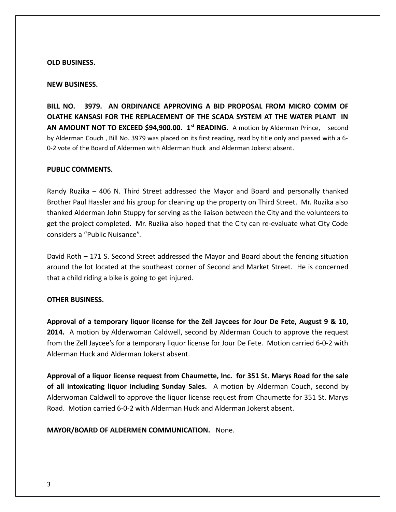#### **OLD BUSINESS.**

#### **NEW BUSINESS.**

**BILL NO. 3979. AN ORDINANCE APPROVING A BID PROPOSAL FROM MICRO COMM OF OLATHE KANSASI FOR THE REPLACEMENT OF THE SCADA SYSTEM AT THE WATER PLANT IN** AN AMOUNT NOT TO EXCEED \$94,900.00. 1<sup>st</sup> READING. A motion by Alderman Prince, second by Alderman Couch , Bill No. 3979 was placed on its first reading, read by title only and passed with a 6- 0-2 vote of the Board of Aldermen with Alderman Huck and Alderman Jokerst absent.

#### **PUBLIC COMMENTS.**

Randy Ruzika – 406 N. Third Street addressed the Mayor and Board and personally thanked Brother Paul Hassler and his group for cleaning up the property on Third Street. Mr. Ruzika also thanked Alderman John Stuppy for serving as the liaison between the City and the volunteers to get the project completed. Mr. Ruzika also hoped that the City can re-evaluate what City Code considers a "Public Nuisance".

David Roth – 171 S. Second Street addressed the Mayor and Board about the fencing situation around the lot located at the southeast corner of Second and Market Street. He is concerned that a child riding a bike is going to get injured.

# **OTHER BUSINESS.**

**Approval of a temporary liquor license for the Zell Jaycees for Jour De Fete, August 9 & 10, 2014.** A motion by Alderwoman Caldwell, second by Alderman Couch to approve the request from the Zell Jaycee's for a temporary liquor license for Jour De Fete. Motion carried 6-0-2 with Alderman Huck and Alderman Jokerst absent.

**Approval of a liquor license request from Chaumette, Inc. for 351 St. Marys Road for the sale of all intoxicating liquor including Sunday Sales.** A motion by Alderman Couch, second by Alderwoman Caldwell to approve the liquor license request from Chaumette for 351 St. Marys Road. Motion carried 6-0-2 with Alderman Huck and Alderman Jokerst absent.

**MAYOR/BOARD OF ALDERMEN COMMUNICATION.** None.